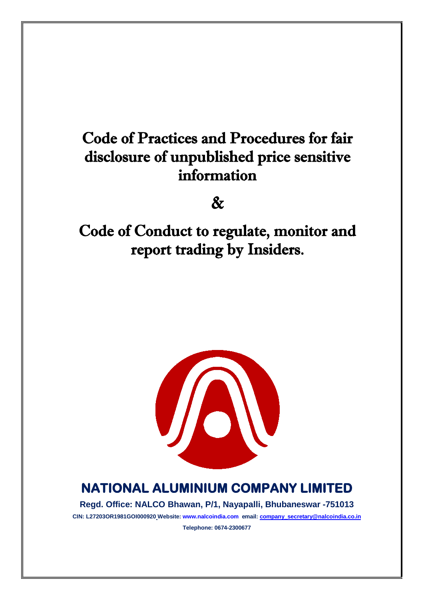# Code of Practices and Procedures for fair disclosure of unpublished price sensitive information

 $\mathcal{R}_{I}$ 

Code of Conduct to regulate, monitor and report trading by Insiders.



## **NATIONAL ALUMINIUM COMPANY LIMITED**

**Regd. Office: NALCO Bhawan, P/1, Nayapalli, Bhubaneswar -751013**

**CIN: L27203OR1981GOI000920 Website: www.nalcoindia.com email: [company\\_secretary@nalcoindia.co.in](mailto:company_secretary@nalcoindia.co.in) Telephone: 0674-2300677**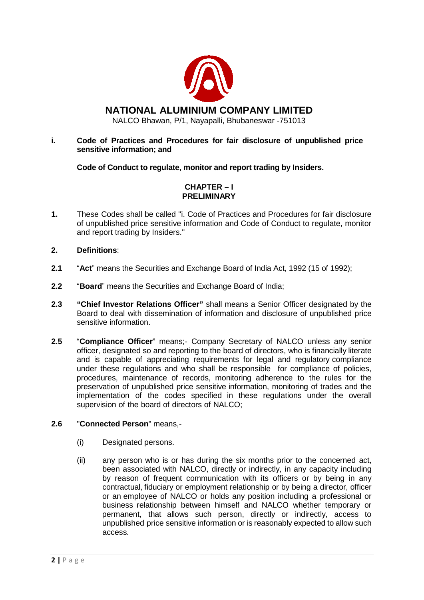

### **i. Code of Practices and Procedures for fair disclosure of unpublished price sensitive information; and**

**Code of Conduct to regulate, monitor and report trading by Insiders.**

## **CHAPTER – I PRELIMINARY**

**1.** These Codes shall be called "i. Code of Practices and Procedures for fair disclosure of unpublished price sensitive information and Code of Conduct to regulate, monitor and report trading by Insiders."

## **2. Definitions**:

- **2.1** "**Act**" means the Securities and Exchange Board of India Act, 1992 (15 of 1992);
- **2.2** "**Board**" means the Securities and Exchange Board of India;
- **2.3 "Chief Investor Relations Officer"** shall means a Senior Officer designated by the Board to deal with dissemination of information and disclosure of unpublished price sensitive information.
- **2.5** "**Compliance Officer**" means;- Company Secretary of NALCO unless any senior officer, designated so and reporting to the board of directors, who is financially literate and is capable of appreciating requirements for legal and regulatory compliance under these regulations and who shall be responsible for compliance of policies, procedures, maintenance of records, monitoring adherence to the rules for the preservation of unpublished price sensitive information, monitoring of trades and the implementation of the codes specified in these regulations under the overall supervision of the board of directors of NALCO;

#### **2.6** "**Connected Person**" means,-

- (i) Designated persons.
- (ii) any person who is or has during the six months prior to the concerned act, been associated with NALCO, directly or indirectly, in any capacity including by reason of frequent communication with its officers or by being in any contractual, fiduciary or employment relationship or by being a director, officer or an employee of NALCO or holds any position including a professional or business relationship between himself and NALCO whether temporary or permanent, that allows such person, directly or indirectly, access to unpublished price sensitive information or is reasonably expected to allow such access.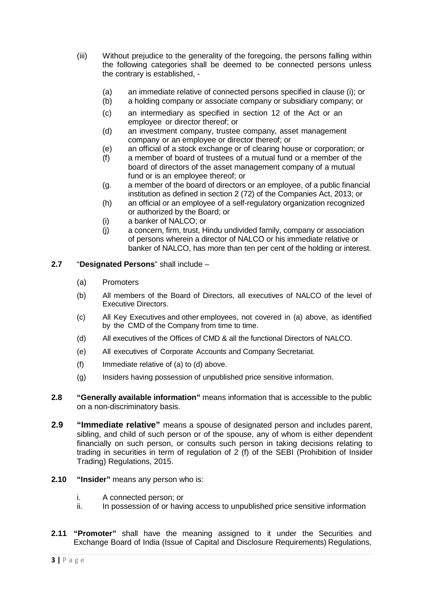- (iii) Without prejudice to the generality of the foregoing, the persons falling within the following categories shall be deemed to be connected persons unless the contrary is established, -
	- (a) an immediate relative of connected persons specified in clause (i); or (b) a holding company or associate company or subsidiary company; or
	- a holding company or associate company or subsidiary company; or
	- (c) an intermediary as specified in section 12 of the Act or an employee or director thereof; or
	- (d) an investment company, trustee company, asset management company or an employee or director thereof; or
	- (e) an official of a stock exchange or of clearing house or corporation; or
	- (f) a member of board of trustees of a mutual fund or a member of the board of directors of the asset management company of a mutual fund or is an employee thereof; or
	- (g. a member of the board of directors or an employee, of a public financial institution as defined in section 2 (72) of the Companies Act, 2013; or
	- (h) an official or an employee of a self-regulatory organization recognized or authorized by the Board; or
	- (i) a banker of NALCO; or
	- (j) a concern, firm, trust, Hindu undivided family, company or association of persons wherein a director of NALCO or his immediate relative or banker of NALCO, has more than ten per cent of the holding or interest.
- **2.7** "**Designated Persons**" shall include
	- (a) Promoters
	- (b) All members of the Board of Directors, all executives of NALCO of the level of Executive Directors.
	- (c) All Key Executives and other employees, not covered in (a) above, as identified by the CMD of the Company from time to time.
	- (d) All executives of the Offices of CMD & all the functional Directors of NALCO.
	- (e) All executives of Corporate Accounts and Company Secretariat.
	- (f) Immediate relative of (a) to (d) above.
	- (g) Insiders having possession of unpublished price sensitive information.
- **2.8 "Generally available information"** means information that is accessible to the public on a non-discriminatory basis.
- **2.9 "Immediate relative"** means a spouse of designated person and includes parent, sibling, and child of such person or of the spouse, any of whom is either dependent financially on such person, or consults such person in taking decisions relating to trading in securities in term of regulation of 2 (f) of the SEBI (Prohibition of Insider Trading) Regulations, 2015.
- **2.10 "Insider"** means any person who is:
	- i. A connected person; or
	- ii. In possession of or having access to unpublished price sensitive information
- **2.11 "Promoter"** shall have the meaning assigned to it under the Securities and Exchange Board of India (Issue of Capital and Disclosure Requirements) Regulations,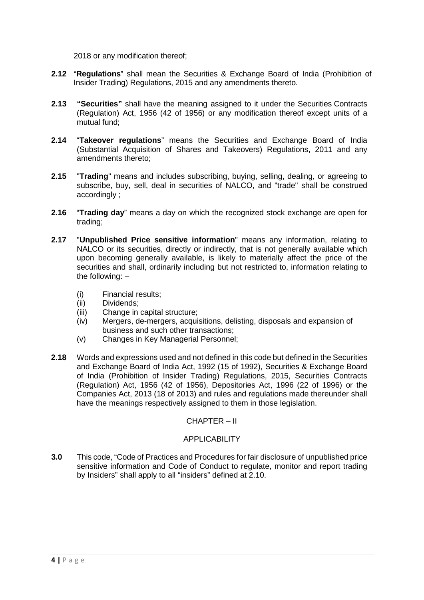2018 or any modification thereof;

- **2.12** "**Regulations**" shall mean the Securities & Exchange Board of India (Prohibition of Insider Trading) Regulations, 2015 and any amendments thereto.
- **2.13 "Securities"** shall have the meaning assigned to it under the Securities Contracts (Regulation) Act, 1956 (42 of 1956) or any modification thereof except units of a mutual fund;
- **2.14** "**Takeover regulations**" means the Securities and Exchange Board of India (Substantial Acquisition of Shares and Takeovers) Regulations, 2011 and any amendments thereto;
- **2.15** "**Trading**" means and includes subscribing, buying, selling, dealing, or agreeing to subscribe, buy, sell, deal in securities of NALCO, and "trade" shall be construed accordingly ;
- **2.16** "**Trading day**" means a day on which the recognized stock exchange are open for trading;
- **2.17** "**Unpublished Price sensitive information**" means any information, relating to NALCO or its securities, directly or indirectly, that is not generally available which upon becoming generally available, is likely to materially affect the price of the securities and shall, ordinarily including but not restricted to, information relating to the following: –
	- (i) Financial results;
	- Dividends:
	- (iii) Change in capital structure;
	- (iv) Mergers, de-mergers, acquisitions, delisting, disposals and expansion of business and such other transactions;
	- (v) Changes in Key Managerial Personnel;
- **2.18** Words and expressions used and not defined in this code but defined in the Securities and Exchange Board of India Act, 1992 (15 of 1992), Securities & Exchange Board of India (Prohibition of Insider Trading) Regulations, 2015, Securities Contracts (Regulation) Act, 1956 (42 of 1956), Depositories Act, 1996 (22 of 1996) or the Companies Act, 2013 (18 of 2013) and rules and regulations made thereunder shall have the meanings respectively assigned to them in those legislation.

#### CHAPTER – II

#### **APPLICABILITY**

**3.0** This code, "Code of Practices and Procedures for fair disclosure of unpublished price sensitive information and Code of Conduct to regulate, monitor and report trading by Insiders" shall apply to all "insiders" defined at 2.10.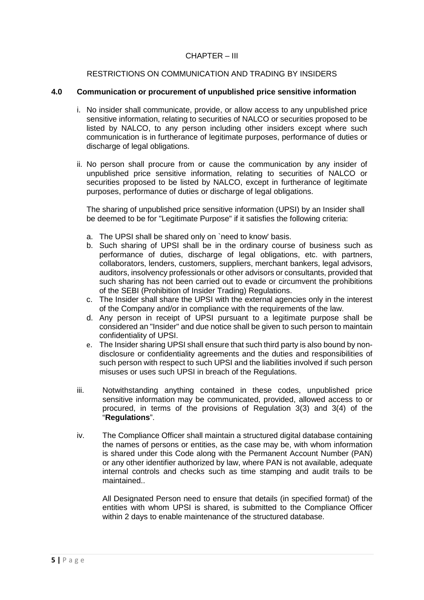#### CHAPTER – III

#### RESTRICTIONS ON COMMUNICATION AND TRADING BY INSIDERS

#### **4.0 Communication or procurement of unpublished price sensitive information**

- i. No insider shall communicate, provide, or allow access to any unpublished price sensitive information, relating to securities of NALCO or securities proposed to be listed by NALCO, to any person including other insiders except where such communication is in furtherance of legitimate purposes, performance of duties or discharge of legal obligations.
- ii. No person shall procure from or cause the communication by any insider of unpublished price sensitive information, relating to securities of NALCO or securities proposed to be listed by NALCO, except in furtherance of legitimate purposes, performance of duties or discharge of legal obligations.

The sharing of unpublished price sensitive information (UPSI) by an Insider shall be deemed to be for "Legitimate Purpose" if it satisfies the following criteria:

- a. The UPSI shall be shared only on `need to know' basis.
- b. Such sharing of UPSI shall be in the ordinary course of business such as performance of duties, discharge of legal obligations, etc. with partners, collaborators, lenders, customers, suppliers, merchant bankers, legal advisors, auditors, insolvency professionals or other advisors or consultants, provided that such sharing has not been carried out to evade or circumvent the prohibitions of the SEBI (Prohibition of Insider Trading) Regulations.
- c. The Insider shall share the UPSI with the external agencies only in the interest of the Company and/or in compliance with the requirements of the law.
- d. Any person in receipt of UPSI pursuant to a legitimate purpose shall be considered an "Insider" and due notice shall be given to such person to maintain confidentiality of UPSI.
- e. The Insider sharing UPSI shall ensure that such third party is also bound by nondisclosure or confidentiality agreements and the duties and responsibilities of such person with respect to such UPSI and the liabilities involved if such person misuses or uses such UPSI in breach of the Regulations.
- iii. Notwithstanding anything contained in these codes, unpublished price sensitive information may be communicated, provided, allowed access to or procured, in terms of the provisions of Regulation 3(3) and 3(4) of the "**Regulations**".
- iv. The Compliance Officer shall maintain a structured digital database containing the names of persons or entities, as the case may be, with whom information is shared under this Code along with the Permanent Account Number (PAN) or any other identifier authorized by law, where PAN is not available, adequate internal controls and checks such as time stamping and audit trails to be maintained..

All Designated Person need to ensure that details (in specified format) of the entities with whom UPSI is shared, is submitted to the Compliance Officer within 2 days to enable maintenance of the structured database.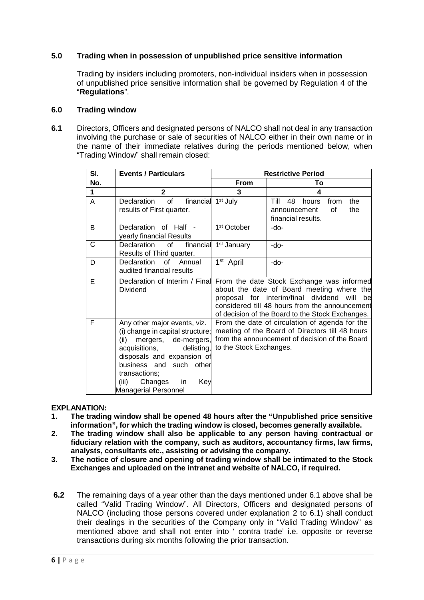## **5.0 Trading when in possession of unpublished price sensitive information**

Trading by insiders including promoters, non-individual insiders when in possession of unpublished price sensitive information shall be governed by Regulation 4 of the "**Regulations**".

#### **6.0 Trading window**

**6.1** Directors, Officers and designated persons of NALCO shall not deal in any transaction involving the purchase or sale of securities of NALCO either in their own name or in the name of their immediate relatives during the periods mentioned below, when "Trading Window" shall remain closed:

| SI. | <b>Events / Particulars</b>                                                                                                                                                                                                                                                   |                                                                                                                                                                                                                                                   | <b>Restrictive Period</b>                                                             |  |  |  |
|-----|-------------------------------------------------------------------------------------------------------------------------------------------------------------------------------------------------------------------------------------------------------------------------------|---------------------------------------------------------------------------------------------------------------------------------------------------------------------------------------------------------------------------------------------------|---------------------------------------------------------------------------------------|--|--|--|
| No. |                                                                                                                                                                                                                                                                               | From                                                                                                                                                                                                                                              | То                                                                                    |  |  |  |
| 1   | $\mathbf{2}$                                                                                                                                                                                                                                                                  | 3                                                                                                                                                                                                                                                 | 4                                                                                     |  |  |  |
| A   | financial<br>Declaration<br>of<br>results of First quarter.                                                                                                                                                                                                                   | 1 <sup>st</sup> July                                                                                                                                                                                                                              | Till<br>48<br>from<br>the<br>hours<br>οf<br>the<br>announcement<br>financial results. |  |  |  |
| B   | Declaration of Half -<br>yearly financial Results                                                                                                                                                                                                                             | 1 <sup>st</sup> October                                                                                                                                                                                                                           | -do-                                                                                  |  |  |  |
| C   | financial<br>Declaration<br>of<br>Results of Third quarter.                                                                                                                                                                                                                   | 1 <sup>st</sup> January                                                                                                                                                                                                                           | $-do-$                                                                                |  |  |  |
| D   | Declaration<br>of Annual<br>audited financial results                                                                                                                                                                                                                         | 1 <sup>st</sup> April                                                                                                                                                                                                                             | $-do-$                                                                                |  |  |  |
| Е   | Declaration of Interim / Final<br>Dividend                                                                                                                                                                                                                                    | From the date Stock Exchange was informed<br>about the date of Board meeting where the<br>proposal for interim/final dividend<br>will<br>be<br>considered till 48 hours from the announcement<br>of decision of the Board to the Stock Exchanges. |                                                                                       |  |  |  |
| F   | Any other major events, viz.<br>(i) change in capital structure;<br>mergers, de-mergers,<br>(ii)<br>acquisitions,<br>delisting,<br>disposals and expansion of<br>business and<br>such other<br>transactions;<br>Changes<br>Key<br>(iii)<br>in.<br><b>Managerial Personnel</b> | From the date of circulation of agenda for the<br>meeting of the Board of Directors till 48 hours<br>from the announcement of decision of the Board<br>to the Stock Exchanges.                                                                    |                                                                                       |  |  |  |

## **EXPLANATION:**<br>1. The trading

- **1. The trading window shall be opened 48 hours after the "Unpublished price sensitive information", for which the trading window is closed, becomes generally available.**
- **2. The trading window shall also be applicable to any person having contractual or fiduciary relation with the company, such as auditors, accountancy firms, law firms, analysts, consultants etc., assisting or advising the company.**
- **3. The notice of closure and opening of trading window shall be intimated to the Stock Exchanges and uploaded on the intranet and website of NALCO, if required.**
- **6.2** The remaining days of a year other than the days mentioned under 6.1 above shall be called "Valid Trading Window". All Directors, Officers and designated persons of NALCO (including those persons covered under explanation 2 to 6.1) shall conduct their dealings in the securities of the Company only in "Valid Trading Window" as mentioned above and shall not enter into ' contra trade' i.e. opposite or reverse transactions during six months following the prior transaction.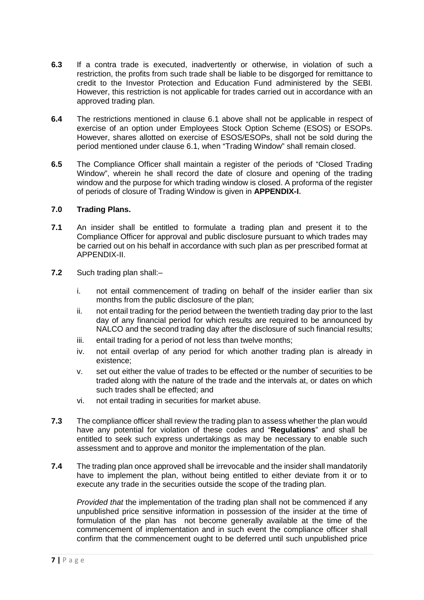- **6.3** If a contra trade is executed, inadvertently or otherwise, in violation of such a restriction, the profits from such trade shall be liable to be disgorged for remittance to credit to the Investor Protection and Education Fund administered by the SEBI. However, this restriction is not applicable for trades carried out in accordance with an approved trading plan.
- **6.4** The restrictions mentioned in clause 6.1 above shall not be applicable in respect of exercise of an option under Employees Stock Option Scheme (ESOS) or ESOPs. However, shares allotted on exercise of ESOS/ESOPs, shall not be sold during the period mentioned under clause 6.1, when "Trading Window" shall remain closed.
- **6.5** The Compliance Officer shall maintain a register of the periods of "Closed Trading Window", wherein he shall record the date of closure and opening of the trading window and the purpose for which trading window is closed. A proforma of the register of periods of closure of Trading Window is given in **APPENDIX-I.**

#### **7.0 Trading Plans.**

- **7.1** An insider shall be entitled to formulate a trading plan and present it to the Compliance Officer for approval and public disclosure pursuant to which trades may be carried out on his behalf in accordance with such plan as per prescribed format at APPENDIX-II.
- **7.2** Such trading plan shall:–
	- i. not entail commencement of trading on behalf of the insider earlier than six months from the public disclosure of the plan;
	- ii. not entail trading for the period between the twentieth trading day prior to the last day of any financial period for which results are required to be announced by NALCO and the second trading day after the disclosure of such financial results;
	- iii. entail trading for a period of not less than twelve months;
	- iv. not entail overlap of any period for which another trading plan is already in existence;
	- v. set out either the value of trades to be effected or the number of securities to be traded along with the nature of the trade and the intervals at, or dates on which such trades shall be effected; and
	- vi. not entail trading in securities for market abuse.
- **7.3** The compliance officer shall review the trading plan to assess whether the plan would have any potential for violation of these codes and "**Regulations**" and shall be entitled to seek such express undertakings as may be necessary to enable such assessment and to approve and monitor the implementation of the plan.
- **7.4** The trading plan once approved shall be irrevocable and the insider shall mandatorily have to implement the plan, without being entitled to either deviate from it or to execute any trade in the securities outside the scope of the trading plan.

*Provided that* the implementation of the trading plan shall not be commenced if any unpublished price sensitive information in possession of the insider at the time of formulation of the plan has not become generally available at the time of the commencement of implementation and in such event the compliance officer shall confirm that the commencement ought to be deferred until such unpublished price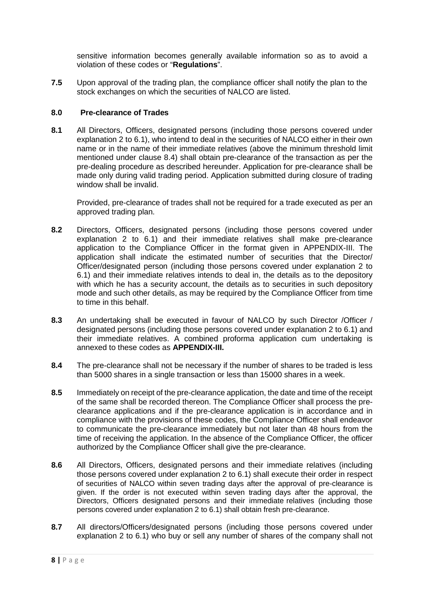sensitive information becomes generally available information so as to avoid a violation of these codes or "**Regulations**".

**7.5** Upon approval of the trading plan, the compliance officer shall notify the plan to the stock exchanges on which the securities of NALCO are listed.

#### **8.0 Pre-clearance of Trades**

**8.1** All Directors, Officers, designated persons (including those persons covered under explanation 2 to 6.1), who intend to deal in the securities of NALCO either in their own name or in the name of their immediate relatives (above the minimum threshold limit mentioned under clause 8.4) shall obtain pre-clearance of the transaction as per the pre-dealing procedure as described hereunder. Application for pre-clearance shall be made only during valid trading period. Application submitted during closure of trading window shall be invalid.

Provided, pre-clearance of trades shall not be required for a trade executed as per an approved trading plan.

- **8.2** Directors, Officers, designated persons (including those persons covered under explanation 2 to 6.1) and their immediate relatives shall make pre-clearance application to the Compliance Officer in the format given in APPENDIX-III. The application shall indicate the estimated number of securities that the Director/ Officer/designated person (including those persons covered under explanation 2 to 6.1) and their immediate relatives intends to deal in, the details as to the depository with which he has a security account, the details as to securities in such depository mode and such other details, as may be required by the Compliance Officer from time to time in this behalf.
- **8.3** An undertaking shall be executed in favour of NALCO by such Director /Officer / designated persons (including those persons covered under explanation 2 to 6.1) and their immediate relatives. A combined proforma application cum undertaking is annexed to these codes as **APPENDIX-III.**
- **8.4** The pre-clearance shall not be necessary if the number of shares to be traded is less than 5000 shares in a single transaction or less than 15000 shares in a week.
- **8.5** Immediately on receipt of the pre-clearance application, the date and time of the receipt of the same shall be recorded thereon. The Compliance Officer shall process the preclearance applications and if the pre-clearance application is in accordance and in compliance with the provisions of these codes, the Compliance Officer shall endeavor to communicate the pre-clearance immediately but not later than 48 hours from the time of receiving the application. In the absence of the Compliance Officer, the officer authorized by the Compliance Officer shall give the pre-clearance.
- **8.6** All Directors, Officers, designated persons and their immediate relatives (including those persons covered under explanation 2 to 6.1) shall execute their order in respect of securities of NALCO within seven trading days after the approval of pre-clearance is given. If the order is not executed within seven trading days after the approval, the Directors, Officers designated persons and their immediate relatives (including those persons covered under explanation 2 to 6.1) shall obtain fresh pre-clearance.
- **8.7** All directors/Officers/designated persons (including those persons covered under explanation 2 to 6.1) who buy or sell any number of shares of the company shall not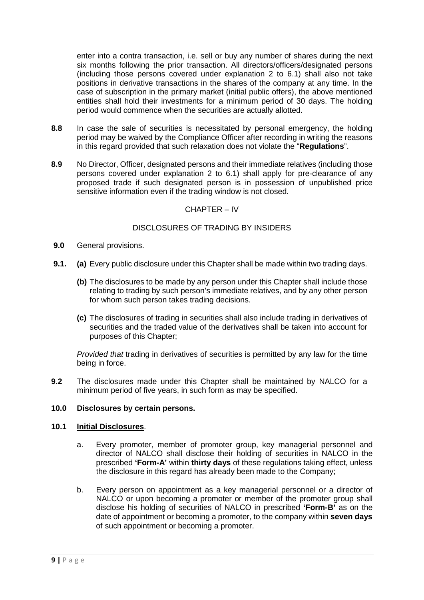enter into a contra transaction, i.e. sell or buy any number of shares during the next six months following the prior transaction. All directors/officers/designated persons (including those persons covered under explanation 2 to 6.1) shall also not take positions in derivative transactions in the shares of the company at any time. In the case of subscription in the primary market (initial public offers), the above mentioned entities shall hold their investments for a minimum period of 30 days. The holding period would commence when the securities are actually allotted.

- **8.8** In case the sale of securities is necessitated by personal emergency, the holding period may be waived by the Compliance Officer after recording in writing the reasons in this regard provided that such relaxation does not violate the "**Regulations**".
- **8.9** No Director, Officer, designated persons and their immediate relatives (including those persons covered under explanation 2 to 6.1) shall apply for pre-clearance of any proposed trade if such designated person is in possession of unpublished price sensitive information even if the trading window is not closed.

#### CHAPTER – IV

## DISCLOSURES OF TRADING BY INSIDERS

- **9.0** General provisions.
- **9.1. (a)** Every public disclosure under this Chapter shall be made within two trading days.
	- **(b)** The disclosures to be made by any person under this Chapter shall include those relating to trading by such person's immediate relatives, and by any other person for whom such person takes trading decisions.
	- **(c)** The disclosures of trading in securities shall also include trading in derivatives of securities and the traded value of the derivatives shall be taken into account for purposes of this Chapter;

*Provided that* trading in derivatives of securities is permitted by any law for the time being in force.

**9.2** The disclosures made under this Chapter shall be maintained by NALCO for a minimum period of five years, in such form as may be specified.

## **10.0 Disclosures by certain persons.**

#### **10.1 Initial Disclosures**.

- a. Every promoter, member of promoter group, key managerial personnel and director of NALCO shall disclose their holding of securities in NALCO in the prescribed **'Form-A'** within **thirty days** of these regulations taking effect, unless the disclosure in this regard has already been made to the Company;
- b. Every person on appointment as a key managerial personnel or a director of NALCO or upon becoming a promoter or member of the promoter group shall disclose his holding of securities of NALCO in prescribed **'Form-B'** as on the date of appointment or becoming a promoter, to the company within **seven days** of such appointment or becoming a promoter.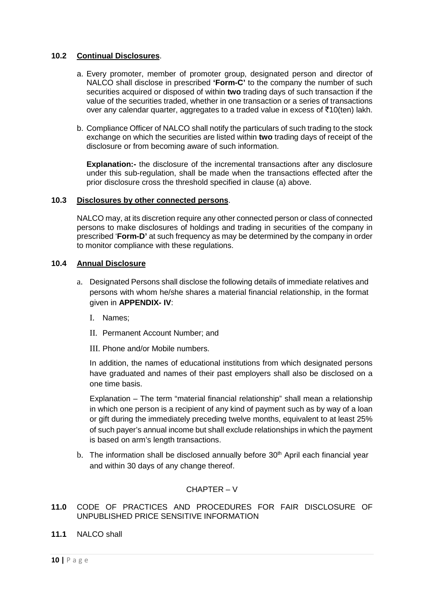#### **10.2 Continual Disclosures**.

- a. Every promoter, member of promoter group, designated person and director of NALCO shall disclose in prescribed **'Form-C'** to the company the number of such securities acquired or disposed of within **two** trading days of such transaction if the value of the securities traded, whether in one transaction or a series of transactions over any calendar quarter, aggregates to a traded value in excess of  $\bar{\tau}10$ (ten) lakh.
- b. Compliance Officer of NALCO shall notify the particulars of such trading to the stock exchange on which the securities are listed within **two** trading days of receipt of the disclosure or from becoming aware of such information.

**Explanation:-** the disclosure of the incremental transactions after any disclosure under this sub-regulation, shall be made when the transactions effected after the prior disclosure cross the threshold specified in clause (a) above.

#### **10.3 Disclosures by other connected persons**.

NALCO may, at its discretion require any other connected person or class of connected persons to make disclosures of holdings and trading in securities of the company in prescribed '**Form-D'** at such frequency as may be determined by the company in order to monitor compliance with these regulations.

#### **10.4 Annual Disclosure**

- a. Designated Persons shall disclose the following details of immediate relatives and persons with whom he/she shares a material financial relationship, in the format given in **APPENDIX- IV**:
	- I. Names;
	- II. Permanent Account Number; and
	- III. Phone and/or Mobile numbers.

In addition, the names of educational institutions from which designated persons have graduated and names of their past employers shall also be disclosed on a one time basis.

Explanation – The term "material financial relationship" shall mean a relationship in which one person is a recipient of any kind of payment such as by way of a loan or gift during the immediately preceding twelve months, equivalent to at least 25% of such payer's annual income but shall exclude relationships in which the payment is based on arm's length transactions.

b. The information shall be disclosed annually before 30<sup>th</sup> April each financial year and within 30 days of any change thereof.

## CHAPTER – V

- **11.0** CODE OF PRACTICES AND PROCEDURES FOR FAIR DISCLOSURE OF UNPUBLISHED PRICE SENSITIVE INFORMATION
- **11.1** NALCO shall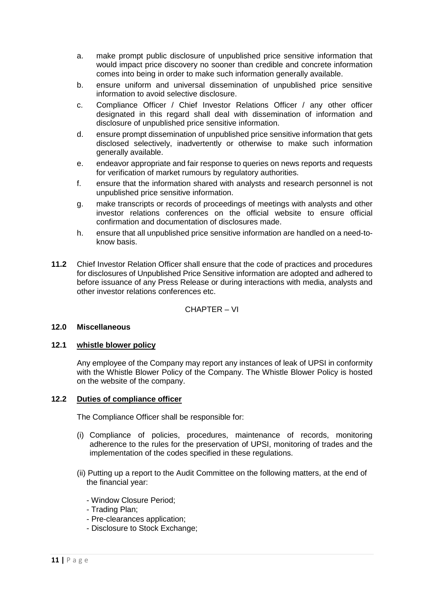- a. make prompt public disclosure of unpublished price sensitive information that would impact price discovery no sooner than credible and concrete information comes into being in order to make such information generally available.
- b. ensure uniform and universal dissemination of unpublished price sensitive information to avoid selective disclosure.
- c. Compliance Officer / Chief Investor Relations Officer / any other officer designated in this regard shall deal with dissemination of information and disclosure of unpublished price sensitive information.
- d. ensure prompt dissemination of unpublished price sensitive information that gets disclosed selectively, inadvertently or otherwise to make such information generally available.
- e. endeavor appropriate and fair response to queries on news reports and requests for verification of market rumours by regulatory authorities.
- f. ensure that the information shared with analysts and research personnel is not unpublished price sensitive information.
- g. make transcripts or records of proceedings of meetings with analysts and other investor relations conferences on the official website to ensure official confirmation and documentation of disclosures made.
- h. ensure that all unpublished price sensitive information are handled on a need-toknow basis.
- **11.2** Chief Investor Relation Officer shall ensure that the code of practices and procedures for disclosures of Unpublished Price Sensitive information are adopted and adhered to before issuance of any Press Release or during interactions with media, analysts and other investor relations conferences etc.

CHAPTER – VI

#### **12.0 Miscellaneous**

#### **12.1 whistle blower policy**

Any employee of the Company may report any instances of leak of UPSI in conformity with the Whistle Blower Policy of the Company. The Whistle Blower Policy is hosted on the website of the company.

#### **12.2 Duties of compliance officer**

The Compliance Officer shall be responsible for:

- (i) Compliance of policies, procedures, maintenance of records, monitoring adherence to the rules for the preservation of UPSI, monitoring of trades and the implementation of the codes specified in these regulations.
- (ii) Putting up a report to the Audit Committee on the following matters, at the end of the financial year:
	- Window Closure Period;
	- Trading Plan;
	- Pre-clearances application;
	- Disclosure to Stock Exchange;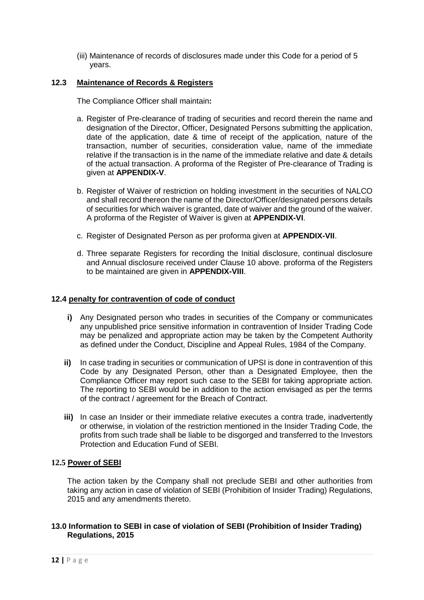(iii) Maintenance of records of disclosures made under this Code for a period of 5 years.

#### **12.3 Maintenance of Records & Registers**

The Compliance Officer shall maintain**:**

- a. Register of Pre-clearance of trading of securities and record therein the name and designation of the Director, Officer, Designated Persons submitting the application, date of the application, date & time of receipt of the application, nature of the transaction, number of securities, consideration value, name of the immediate relative if the transaction is in the name of the immediate relative and date & details of the actual transaction. A proforma of the Register of Pre-clearance of Trading is given at **APPENDIX-V**.
- b. Register of Waiver of restriction on holding investment in the securities of NALCO and shall record thereon the name of the Director/Officer/designated persons details of securities for which waiver is granted, date of waiver and the ground of the waiver. A proforma of the Register of Waiver is given at **APPENDIX-VI**.
- c. Register of Designated Person as per proforma given at **APPENDIX-VII**.
- d. Three separate Registers for recording the Initial disclosure, continual disclosure and Annual disclosure received under Clause 10 above. proforma of the Registers to be maintained are given in **APPENDIX-VIII**.

#### **12.4 penalty for contravention of code of conduct**

- **i)** Any Designated person who trades in securities of the Company or communicates any unpublished price sensitive information in contravention of Insider Trading Code may be penalized and appropriate action may be taken by the Competent Authority as defined under the Conduct, Discipline and Appeal Rules, 1984 of the Company.
- **ii)** In case trading in securities or communication of UPSI is done in contravention of this Code by any Designated Person, other than a Designated Employee, then the Compliance Officer may report such case to the SEBI for taking appropriate action. The reporting to SEBI would be in addition to the action envisaged as per the terms of the contract / agreement for the Breach of Contract.
- **iii)** In case an Insider or their immediate relative executes a contra trade, inadvertently or otherwise, in violation of the restriction mentioned in the Insider Trading Code, the profits from such trade shall be liable to be disgorged and transferred to the Investors Protection and Education Fund of SEBI.

#### **12.5 Power of SEBI**

The action taken by the Company shall not preclude SEBI and other authorities from taking any action in case of violation of SEBI (Prohibition of Insider Trading) Regulations, 2015 and any amendments thereto.

#### **13.0 Information to SEBI in case of violation of SEBI (Prohibition of Insider Trading) Regulations, 2015**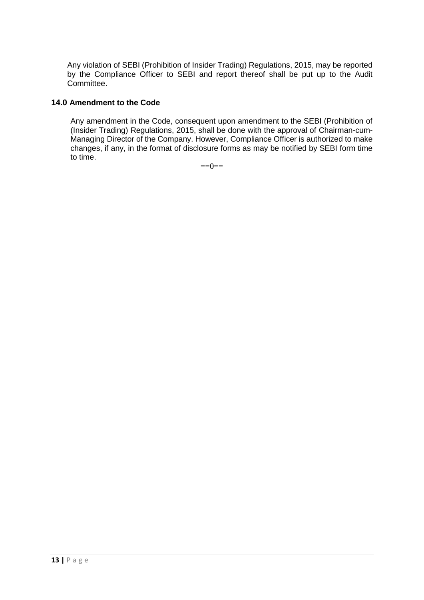Any violation of SEBI (Prohibition of Insider Trading) Regulations, 2015, may be reported by the Compliance Officer to SEBI and report thereof shall be put up to the Audit Committee.

## **14.0 Amendment to the Code**

Any amendment in the Code, consequent upon amendment to the SEBI (Prohibition of (Insider Trading) Regulations, 2015, shall be done with the approval of Chairman-cum-Managing Director of the Company. However, Compliance Officer is authorized to make changes, if any, in the format of disclosure forms as may be notified by SEBI form time to time.

 $==0==$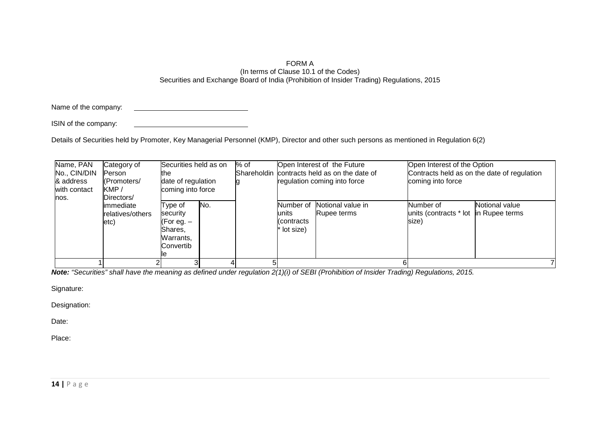#### FORM A (In terms of Clause 10.1 of the Codes) Securities and Exchange Board of India (Prohibition of Insider Trading) Regulations, 2015

Name of the company:

ISIN of the company:

Details of Securities held by Promoter, Key Managerial Personnel (KMP), Director and other such persons as mentioned in Regulation 6(2)

| Name, PAN<br>No., CIN/DIN<br>& address<br>with contact | Category of<br>Person<br>(Promoters/<br>KMP/                | Securities held as on<br>the<br>date of regulation<br>coming into force      |     | % of |                                               | Open Interest of the Future<br>Shareholdin contracts held as on the date of<br>regulation coming into force | Open Interest of the Option<br>Contracts held as on the date of regulation<br>coming into force |                |  |
|--------------------------------------------------------|-------------------------------------------------------------|------------------------------------------------------------------------------|-----|------|-----------------------------------------------|-------------------------------------------------------------------------------------------------------------|-------------------------------------------------------------------------------------------------|----------------|--|
| nos.                                                   | Directors/<br>limmediate<br>relatives/others<br>$ $ etc $ $ | Type of<br>security<br>(For eg. –<br>Shares,<br>Warrants,<br>Convertib<br>ıe | No. |      | Number of<br>units<br>(contracts<br>lot size) | Notional value in<br>Rupee terms                                                                            | Number of<br>units (contracts * lot in Rupee terms<br>size)                                     | Notional value |  |
|                                                        |                                                             |                                                                              |     |      |                                               |                                                                                                             |                                                                                                 |                |  |

*Note: "Securities" shall have the meaning as defined under regulation 2(1)(i) of SEBI (Prohibition of Insider Trading) Regulations, 2015.*

Signature:

Designation:

Date: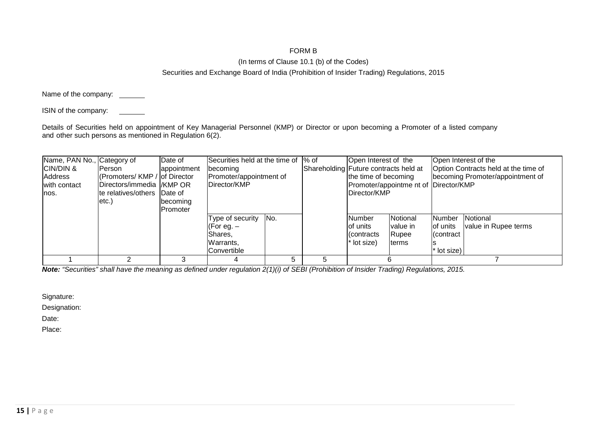## FORM B

#### (In terms of Clause 10.1 (b) of the Codes)

#### Securities and Exchange Board of India (Prohibition of Insider Trading) Regulations, 2015

Name of the company: \_\_\_\_\_

ISIN of the company:

Details of Securities held on appointment of Key Managerial Personnel (KMP) or Director or upon becoming a Promoter of a listed company and other such persons as mentioned in Regulation 6(2).

| Name, PAN No., Category of |                              | Date of           | Securities held at the time of 1% of |     |   | Open Interest of the                  |                                       |             | Open Interest of the                 |
|----------------------------|------------------------------|-------------------|--------------------------------------|-----|---|---------------------------------------|---------------------------------------|-------------|--------------------------------------|
| CIN/DIN &                  | <b>Person</b>                | appointment       | becoming                             |     |   | Shareholding Future contracts held at |                                       |             | Option Contracts held at the time of |
| Address                    | (Promoters/KMP / of Director |                   | Promoter/appointment of              |     |   | the time of becoming                  |                                       |             | becoming Promoter/appointment of     |
| with contact               | Directors/immedia /KMP OR    |                   | Director/KMP                         |     |   |                                       | Promoter/appointme nt of Director/KMP |             |                                      |
| lnos.                      | te relatives/others Date of  |                   |                                      |     |   | Director/KMP                          |                                       |             |                                      |
|                            | letc.)                       | <b>I</b> becoming |                                      |     |   |                                       |                                       |             |                                      |
|                            |                              | <b>IPromoter</b>  |                                      |     |   |                                       |                                       |             |                                      |
|                            |                              |                   | Type of security                     | No. |   | <b>Number</b>                         | Notional                              | Number      | Notional                             |
|                            |                              |                   | (For eg. $-$                         |     |   | of units                              | value in                              | of units    | value in Rupee terms                 |
|                            |                              |                   | Shares.                              |     |   | Contracts                             | Rupee                                 | I(contract  |                                      |
|                            |                              |                   | Warrants,                            |     |   | lot size)                             | lterms                                |             |                                      |
|                            |                              |                   | Convertible                          |     |   |                                       |                                       | * lot size) |                                      |
|                            |                              |                   |                                      | 5   | 5 |                                       |                                       |             |                                      |

*Note: "Securities" shall have the meaning as defined under regulation 2(1)(i) of SEBI (Prohibition of Insider Trading) Regulations, 2015.*

Signature:

Designation:

Date: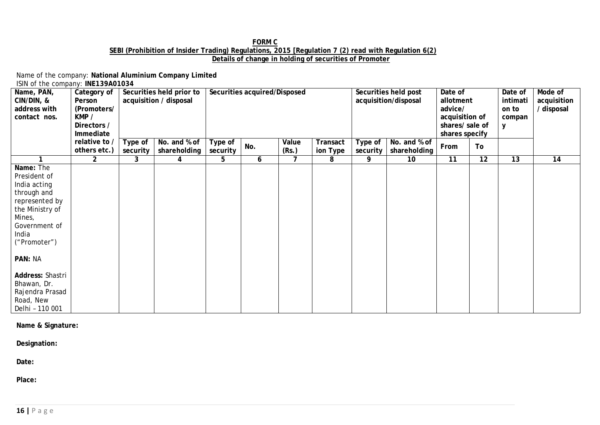#### **FORM C SEBI (Prohibition of Insider Trading) Regulations, 2015 [Regulation 7 (2) read with Regulation 6(2) Details of change in holding of securities of Promoter**

Name of the company: **National Aluminium Company Limited** ISIN of the company: **INE139A01034**

| Name, PAN,<br>CIN/DIN, &<br>address with<br>contact nos.                                                                                                                                                                                           | Category of<br>Person<br>(Promoters/<br>KMP /<br>Directors /<br>Immediate<br>relative to / | Type of  | Securities held prior to<br>acquisition / disposal<br>No. and % of | Securities acquired/Disposed |     |                | Securities held post<br>acquisition/disposal |                     | Date of<br>allotment<br>advice/<br>acquisition of<br>shares/ sale of<br>shares specify |      | Date of<br>intimati<br>on to<br>compan<br>y | Mode of<br>acquisition<br>/ disposal |    |
|----------------------------------------------------------------------------------------------------------------------------------------------------------------------------------------------------------------------------------------------------|--------------------------------------------------------------------------------------------|----------|--------------------------------------------------------------------|------------------------------|-----|----------------|----------------------------------------------|---------------------|----------------------------------------------------------------------------------------|------|---------------------------------------------|--------------------------------------|----|
|                                                                                                                                                                                                                                                    | others etc.)                                                                               | security | shareholding                                                       | Type of<br>security          | No. | Value<br>(Rs.) | Transact<br>ion Type                         | Type of<br>security | No. and % of<br>shareholding                                                           | From | To                                          |                                      |    |
|                                                                                                                                                                                                                                                    | $\overline{2}$                                                                             | 3        | 4                                                                  | 5                            | 6   | 7              | 8                                            | 9                   | 10                                                                                     | 11   | 12                                          | $\overline{13}$                      | 14 |
| Name: The<br>President of<br>India acting<br>through and<br>represented by<br>the Ministry of<br>Mines,<br>Government of<br>India<br>("Promoter")<br>PAN: NA<br>Address: Shastri<br>Bhawan, Dr.<br>Rajendra Prasad<br>Road, New<br>Delhi - 110 001 |                                                                                            |          |                                                                    |                              |     |                |                                              |                     |                                                                                        |      |                                             |                                      |    |

#### **Name & Signature:**

**Designation:**

**Date:**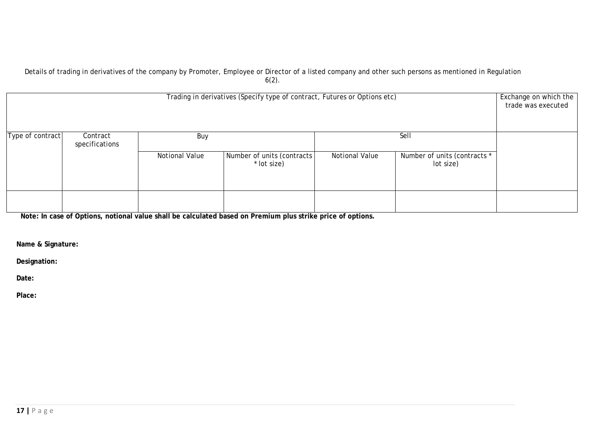#### Details of trading in derivatives of the company by Promoter, Employee or Director of a listed company and other such persons as mentioned in Regulation 6(2).

| Trading in derivatives (Specify type of contract, Futures or Options etc) |                            |                       |                                           |                |                                           |  |  |  |  |
|---------------------------------------------------------------------------|----------------------------|-----------------------|-------------------------------------------|----------------|-------------------------------------------|--|--|--|--|
| Type of contract                                                          | Contract<br>specifications | Buy                   |                                           |                | Sell                                      |  |  |  |  |
|                                                                           |                            | <b>Notional Value</b> | Number of units (contracts<br>* lot size) | Notional Value | Number of units (contracts *<br>lot size) |  |  |  |  |
|                                                                           |                            |                       |                                           |                |                                           |  |  |  |  |

**Note: In case of Options, notional value shall be calculated based on Premium plus strike price of options.**

**Name & Signature:**

**Designation:**

**Date:**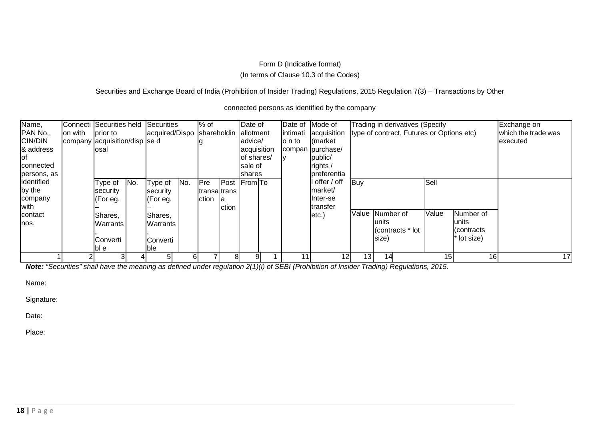## Form D (Indicative format) (In terms of Clause 10.3 of the Codes)

Securities and Exchange Board of India (Prohibition of Insider Trading) Regulations, 2015 Regulation 7(3) - Transactions by Other

connected persons as identified by the company

| Name,          |         | Connecti Securities held Securities |     |                            |     | % of         |       | Date of      |           | Date of Mode of  |                 | Trading in derivatives (Specify           |       |             | Exchange on         |
|----------------|---------|-------------------------------------|-----|----------------------------|-----|--------------|-------|--------------|-----------|------------------|-----------------|-------------------------------------------|-------|-------------|---------------------|
| PAN No.,       | on with | prior to                            |     | acquired/Dispo Shareholdin |     |              |       | allotment    | lintimati | acquisition      |                 | type of contract, Futures or Options etc) |       |             | which the trade was |
| <b>CIN/DIN</b> |         | company acquisition/disp se d       |     |                            |     |              |       | advice/      | lo n to   | (market          |                 |                                           |       |             | executed            |
| & address      |         | losal                               |     |                            |     |              |       | acquisition  |           | compan purchase/ |                 |                                           |       |             |                     |
| lof            |         |                                     |     |                            |     |              |       | lof shares/  |           | public/          |                 |                                           |       |             |                     |
| connected      |         |                                     |     |                            |     |              |       | sale of      |           | rights /         |                 |                                           |       |             |                     |
| persons, as    |         |                                     |     |                            |     |              |       | shares       |           | preferentia      |                 |                                           |       |             |                     |
| identified     |         | Type of                             | No. | Type of                    | No. | <b>Pre</b>   |       | Post From To |           | offer / off      | Buy             |                                           | Sell  |             |                     |
| by the         |         | security                            |     | security                   |     | transaltrans |       |              |           | market/          |                 |                                           |       |             |                     |
| company        |         | (For eg.                            |     | [For eq.                   |     | ction        | -la   |              |           | Inter-se         |                 |                                           |       |             |                     |
| with           |         |                                     |     |                            |     |              | ction |              |           | transfer         |                 |                                           |       |             |                     |
| contact        |         | Shares,                             |     | Shares,                    |     |              |       |              |           | etc.)            |                 | Value Number of                           | Value | Number of   |                     |
| lnos.          |         | <b>Warrants</b>                     |     | <b>Warrants</b>            |     |              |       |              |           |                  |                 | lunits                                    |       | lunits      |                     |
|                |         |                                     |     |                            |     |              |       |              |           |                  |                 | (contracts * lot                          |       | l(contracts |                     |
|                |         | <b>Converti</b>                     |     | Converti                   |     |              |       |              |           |                  |                 | size)                                     |       | * lot size) |                     |
|                |         | lbl el                              |     | lble.                      |     |              |       |              |           |                  |                 |                                           |       |             |                     |
|                |         |                                     |     | 51                         |     |              | 81    | 91           | 11        | 12               | 13 <sub>1</sub> | 14                                        | 15    | 16          | 17                  |

*Note: "Securities" shall have the meaning as defined under regulation 2(1)(i) of SEBI (Prohibition of Insider Trading) Regulations, 2015.*

Name:

Signature:

Date: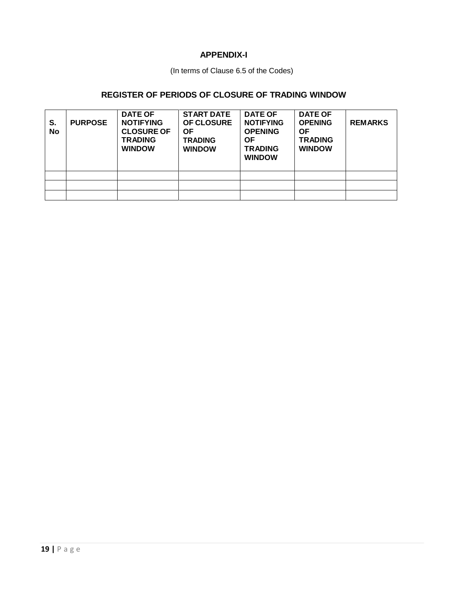## **APPENDIX-I**

(In terms of Clause 6.5 of the Codes)

## **REGISTER OF PERIODS OF CLOSURE OF TRADING WINDOW**

| S.<br>No | <b>PURPOSE</b> | <b>DATE OF</b><br><b>NOTIFYING</b><br><b>CLOSURE OF</b><br><b>TRADING</b><br><b>WINDOW</b> | <b>START DATE</b><br><b>OF CLOSURE</b><br>ΟF<br><b>TRADING</b><br><b>WINDOW</b> | <b>DATE OF</b><br><b>NOTIFYING</b><br><b>OPENING</b><br>ΟF<br><b>TRADING</b><br><b>WINDOW</b> | <b>DATE OF</b><br><b>OPENING</b><br>ΟF<br><b>TRADING</b><br><b>WINDOW</b> | <b>REMARKS</b> |
|----------|----------------|--------------------------------------------------------------------------------------------|---------------------------------------------------------------------------------|-----------------------------------------------------------------------------------------------|---------------------------------------------------------------------------|----------------|
|          |                |                                                                                            |                                                                                 |                                                                                               |                                                                           |                |
|          |                |                                                                                            |                                                                                 |                                                                                               |                                                                           |                |
|          |                |                                                                                            |                                                                                 |                                                                                               |                                                                           |                |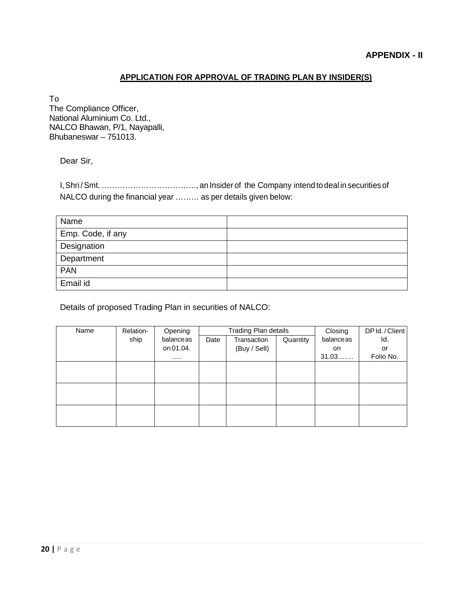## **APPLICATION FOR APPROVAL OF TRADING PLAN BY INSIDER(S)**

To

The Compliance Officer, National Aluminium Co. Ltd., NALCO Bhawan, P/1, Nayapalli, Bhubaneswar – 751013.

Dear Sir,

I,Shri /Smt.………………………………, an Insider of the Company intend to deal in securities of NALCO during the financial year ……… as per details given below:

| Name              |  |
|-------------------|--|
| Emp. Code, if any |  |
| Designation       |  |
| Department        |  |
| <b>PAN</b>        |  |
| Email id          |  |

Details of proposed Trading Plan in securities of NALCO:

| Name | Relation- | Opening   | <b>Trading Plan details</b> |              |          | Closing   | DP Id./Client |
|------|-----------|-----------|-----------------------------|--------------|----------|-----------|---------------|
|      | ship      | balanceas | Date                        | Transaction  | Quantity | balanceas | Id.           |
|      |           | on 01.04. |                             | (Buy / Sell) |          | on        | or            |
|      |           | .         |                             |              |          | 31.03     | Folio No.     |
|      |           |           |                             |              |          |           |               |
|      |           |           |                             |              |          |           |               |
|      |           |           |                             |              |          |           |               |
|      |           |           |                             |              |          |           |               |
|      |           |           |                             |              |          |           |               |
|      |           |           |                             |              |          |           |               |
|      |           |           |                             |              |          |           |               |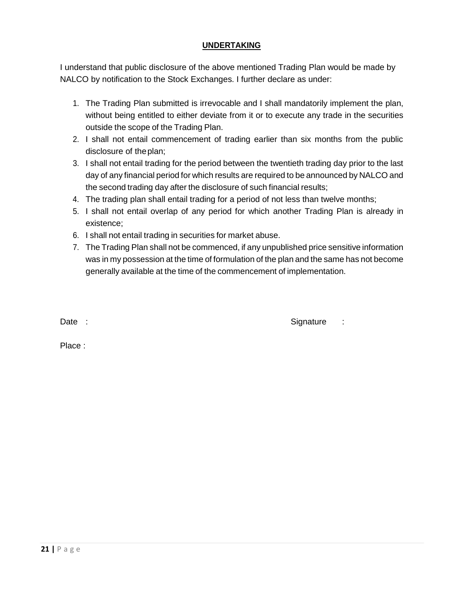## **UNDERTAKING**

I understand that public disclosure of the above mentioned Trading Plan would be made by NALCO by notification to the Stock Exchanges. I further declare as under:

- 1. The Trading Plan submitted is irrevocable and I shall mandatorily implement the plan, without being entitled to either deviate from it or to execute any trade in the securities outside the scope of the Trading Plan.
- 2. I shall not entail commencement of trading earlier than six months from the public disclosure of theplan;
- 3. I shall not entail trading for the period between the twentieth trading day prior to the last day of any financial period for which results are required to be announced by NALCO and the second trading day after the disclosure of such financial results;
- 4. The trading plan shall entail trading for a period of not less than twelve months;
- 5. I shall not entail overlap of any period for which another Trading Plan is already in existence;
- 6. I shall not entail trading in securities for market abuse.
- 7. The Trading Plan shall not be commenced, if any unpublished price sensitive information was in my possession at the time of formulation of the plan and the same has not become generally available at the time of the commencement of implementation.

Date : Signature : Signature : Signature : Signature : Signature : Signature : Signature : Signature : Signature : Signature : Signature : Signature : Signature : Signature : Signature : Signature : Signature : Signature :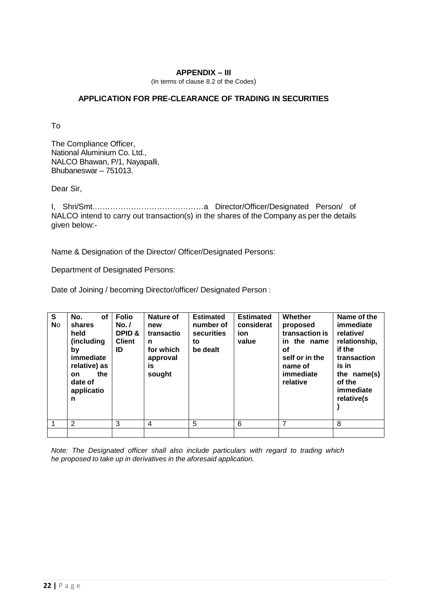#### **APPENDIX – III**

(In terms of clause 8.2 of the Codes)

## **APPLICATION FOR PRE-CLEARANCE OF TRADING IN SECURITIES**

To

The Compliance Officer, National Aluminium Co. Ltd., NALCO Bhawan, P/1, Nayapalli, Bhubaneswar – 751013.

Dear Sir,

I, Shri/Smt.……………………………………a Director/Officer/Designated Person/ of NALCO intend to carry out transaction(s) in the shares of the Company as per the details given below:-

Name & Designation of the Director/ Officer/Designated Persons:

Department of Designated Persons:

Date of Joining / becoming Director/officer/ Designated Person :

| $\overline{\mathsf{s}}$<br><b>No</b> | No.<br><b>of</b><br>shares<br>held<br>(including<br>by<br>immediate<br>relative) as<br>the<br><b>on</b><br>date of<br>applicatio<br>n | <b>Folio</b><br>No. /<br><b>DPID &amp;</b><br><b>Client</b><br>ID | Nature of<br>new<br>transactio<br>n<br>for which<br>approval<br>İS<br>sought | <b>Estimated</b><br>number of<br>securities<br>to<br>be dealt | <b>Estimated</b><br>considerat<br>ion<br>value | Whether<br>proposed<br>transaction is<br>in the name<br>οf<br>self or in the<br>name of<br>immediate<br>relative | Name of the<br>immediate<br>relative/<br>relationship,<br>if the<br>transaction<br>is in<br>the name(s)<br>of the<br>immediate<br>relative(s |
|--------------------------------------|---------------------------------------------------------------------------------------------------------------------------------------|-------------------------------------------------------------------|------------------------------------------------------------------------------|---------------------------------------------------------------|------------------------------------------------|------------------------------------------------------------------------------------------------------------------|----------------------------------------------------------------------------------------------------------------------------------------------|
|                                      | 2                                                                                                                                     | 3                                                                 | 4                                                                            | 5                                                             | 6                                              | 7                                                                                                                | 8                                                                                                                                            |
|                                      |                                                                                                                                       |                                                                   |                                                                              |                                                               |                                                |                                                                                                                  |                                                                                                                                              |

*Note: The Designated officer shall also include particulars with regard to trading which he proposed to take up in derivatives in the aforesaid application.*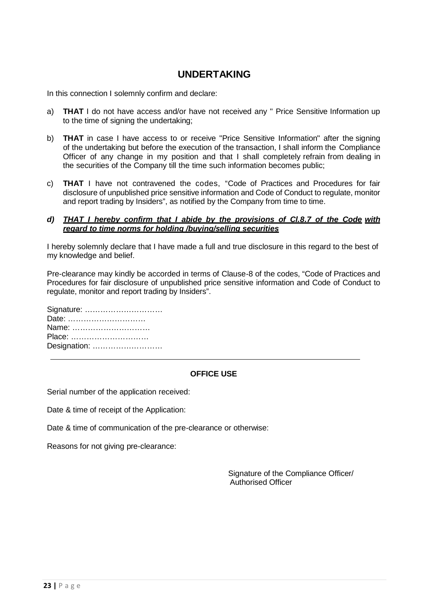## **UNDERTAKING**

In this connection I solemnly confirm and declare:

- a) **THAT** I do not have access and/or have not received any " Price Sensitive Information up to the time of signing the undertaking;
- b) **THAT** in case I have access to or receive "Price Sensitive Information" after the signing of the undertaking but before the execution of the transaction, I shall inform the Compliance Officer of any change in my position and that I shall completely refrain from dealing in the securities of the Company till the time such information becomes public;
- c) **THAT** I have not contravened the codes, "Code of Practices and Procedures for fair disclosure of unpublished price sensitive information and Code of Conduct to regulate, monitor and report trading by Insiders", as notified by the Company from time to time.

#### *d) THAT I hereby confirm that I abide by the provisions of Cl.8.7 of the Code with regard to time norms for holding /buying/selling securities*

I hereby solemnly declare that I have made a full and true disclosure in this regard to the best of my knowledge and belief.

Pre-clearance may kindly be accorded in terms of Clause-8 of the codes, "Code of Practices and Procedures for fair disclosure of unpublished price sensitive information and Code of Conduct to regulate, monitor and report trading by Insiders".

| Signature:   |
|--------------|
| Date:        |
| Name:        |
| Place:       |
| Designation: |

## **OFFICE USE**

Serial number of the application received:

Date & time of receipt of the Application:

Date & time of communication of the pre-clearance or otherwise:

Reasons for not giving pre-clearance:

Signature of the Compliance Officer/ Authorised Officer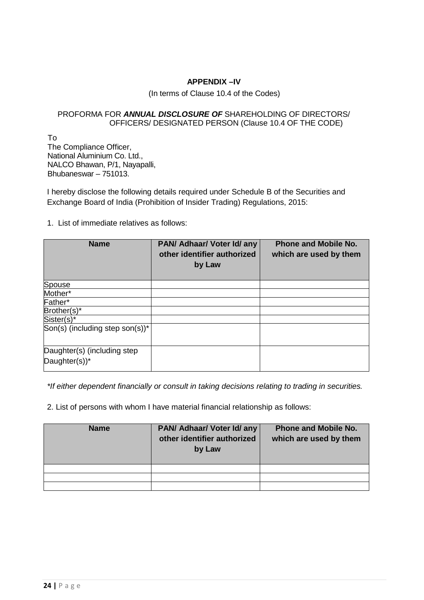## **APPENDIX –IV**

#### (In terms of Clause 10.4 of the Codes)

#### PROFORMA FOR *ANNUAL DISCLOSURE OF* SHAREHOLDING OF DIRECTORS/ OFFICERS/ DESIGNATED PERSON (Clause 10.4 OF THE CODE)

To The Compliance Officer, National Aluminium Co. Ltd., NALCO Bhawan, P/1, Nayapalli, Bhubaneswar – 751013.

I hereby disclose the following details required under Schedule B of the Securities and Exchange Board of India (Prohibition of Insider Trading) Regulations, 2015:

1. List of immediate relatives as follows:

| <b>Name</b>                                     | PAN/ Adhaar/ Voter Id/ any<br>other identifier authorized<br>by Law | <b>Phone and Mobile No.</b><br>which are used by them |
|-------------------------------------------------|---------------------------------------------------------------------|-------------------------------------------------------|
| Spouse                                          |                                                                     |                                                       |
| Mother*                                         |                                                                     |                                                       |
| Father*                                         |                                                                     |                                                       |
| Brother(s)*                                     |                                                                     |                                                       |
| Sister(s)*                                      |                                                                     |                                                       |
| $\vert$ Son(s) (including step son(s))* $\vert$ |                                                                     |                                                       |
| Daughter(s) (including step<br>Daughter(s))*    |                                                                     |                                                       |

*\*If either dependent financially or consult in taking decisions relating to trading in securities.*

2. List of persons with whom I have material financial relationship as follows:

| <b>Name</b> | PAN/ Adhaar/ Voter Id/ any<br>other identifier authorized<br>by Law | <b>Phone and Mobile No.</b><br>which are used by them |
|-------------|---------------------------------------------------------------------|-------------------------------------------------------|
|             |                                                                     |                                                       |
|             |                                                                     |                                                       |
|             |                                                                     |                                                       |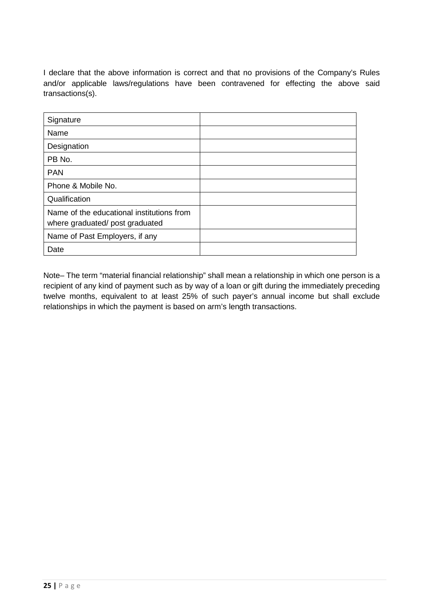I declare that the above information is correct and that no provisions of the Company's Rules and/or applicable laws/regulations have been contravened for effecting the above said transactions(s).

| Signature                                                                   |  |
|-----------------------------------------------------------------------------|--|
| Name                                                                        |  |
| Designation                                                                 |  |
| PB No.                                                                      |  |
| <b>PAN</b>                                                                  |  |
| Phone & Mobile No.                                                          |  |
| Qualification                                                               |  |
| Name of the educational institutions from<br>where graduated/post graduated |  |
| Name of Past Employers, if any                                              |  |
| Date                                                                        |  |

Note– The term "material financial relationship" shall mean a relationship in which one person is a recipient of any kind of payment such as by way of a loan or gift during the immediately preceding twelve months, equivalent to at least 25% of such payer's annual income but shall exclude relationships in which the payment is based on arm's length transactions.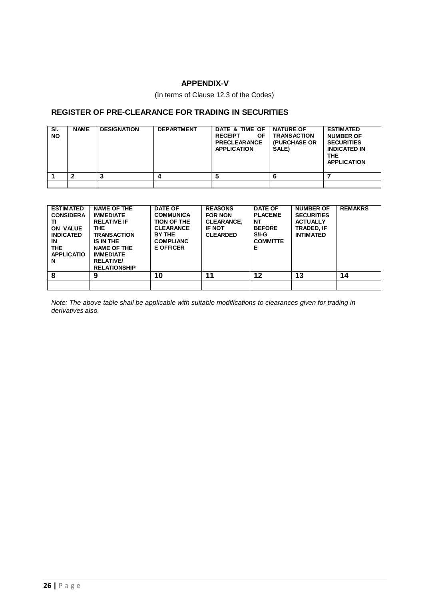## **APPENDIX-V**

(In terms of Clause 12.3 of the Codes)

#### **REGISTER OF PRE-CLEARANCE FOR TRADING IN SECURITIES**

| SI.<br><b>NO</b> | <b>NAME</b> | <b>DESIGNATION</b> | <b>DEPARTMENT</b> | DATE & TIME OF<br><b>RECEIPT</b><br><b>OF</b><br><b>PRECLEARANCE</b><br><b>APPLICATION</b> | <b>NATURE OF</b><br><b>TRANSACTION</b><br><b>(PURCHASE OR</b><br>SALE) | <b>ESTIMATED</b><br><b>NUMBER OF</b><br><b>SECURITIES</b><br><b>INDICATED IN</b><br><b>THE</b><br><b>APPLICATION</b> |
|------------------|-------------|--------------------|-------------------|--------------------------------------------------------------------------------------------|------------------------------------------------------------------------|----------------------------------------------------------------------------------------------------------------------|
|                  |             |                    |                   |                                                                                            |                                                                        |                                                                                                                      |
|                  |             |                    |                   |                                                                                            |                                                                        |                                                                                                                      |

| <b>ESTIMATED</b><br><b>CONSIDERA</b><br>ΤI<br>ON VALUE<br><b>INDICATED</b><br>IN<br>THE.<br><b>APPLICATIO</b><br>N | <b>NAME OF THE</b><br><b>IMMEDIATE</b><br><b>RELATIVE IF</b><br>THE.<br><b>TRANSACTION</b><br>IS IN THE<br><b>NAME OF THE</b><br><b>IMMEDIATE</b><br><b>RELATIVE/</b><br><b>RELATIONSHIP</b> | <b>DATE OF</b><br><b>COMMUNICA</b><br><b>TION OF THE</b><br><b>CLEARANCE</b><br>BY THE<br><b>COMPLIANC</b><br><b>E OFFICER</b> | <b>REASONS</b><br><b>FOR NON</b><br><b>CLEARANCE,</b><br><b>IF NOT</b><br><b>CLEARDED</b> | <b>DATE OF</b><br><b>PLACEME</b><br>NΤ<br><b>BEFORE</b><br>$S/I-G$<br><b>COMMITTE</b><br>Е | <b>NUMBER OF</b><br><b>SECURITIES</b><br><b>ACTUALLY</b><br>TRADED, IF<br><b>INTIMATED</b> | <b>REMAKRS</b> |
|--------------------------------------------------------------------------------------------------------------------|----------------------------------------------------------------------------------------------------------------------------------------------------------------------------------------------|--------------------------------------------------------------------------------------------------------------------------------|-------------------------------------------------------------------------------------------|--------------------------------------------------------------------------------------------|--------------------------------------------------------------------------------------------|----------------|
| 8                                                                                                                  | 9                                                                                                                                                                                            | 10                                                                                                                             | 11                                                                                        | 12                                                                                         | 13                                                                                         | 14             |
|                                                                                                                    |                                                                                                                                                                                              |                                                                                                                                |                                                                                           |                                                                                            |                                                                                            |                |

*Note: The above table shall be applicable with suitable modifications to clearances given for trading in derivatives also.*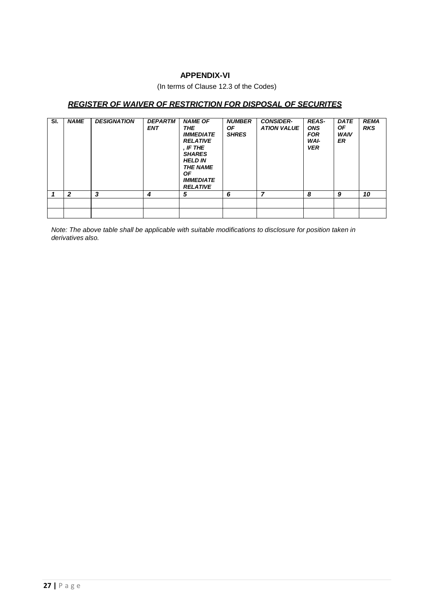#### **APPENDIX-VI**

(In terms of Clause 12.3 of the Codes)

## *REGISTER OF WAIVER OF RESTRICTION FOR DISPOSAL OF SECURITES*

| SI. | <b>NAME</b>  | <b>DESIGNATION</b> | <b>DEPARTM</b><br><b>ENT</b> | <b>NAME OF</b><br><b>THE</b><br><b>IMMEDIATE</b><br><b>RELATIVE</b><br>. IF THE<br><b>SHARES</b><br><b>HELD IN</b><br><b>THE NAME</b><br><b>OF</b><br><b>IMMEDIATE</b><br><b>RELATIVE</b> | <b>NUMBER</b><br>OF.<br><b>SHRES</b> | <b>CONSIDER-</b><br><b>ATION VALUE</b> | <b>REAS-</b><br><b>ONS</b><br><b>FOR</b><br>WAI-<br><b>VER</b> | <b>DATE</b><br><b>OF</b><br><b>WAIV</b><br>ER | <b>REMA</b><br><b>RKS</b> |
|-----|--------------|--------------------|------------------------------|-------------------------------------------------------------------------------------------------------------------------------------------------------------------------------------------|--------------------------------------|----------------------------------------|----------------------------------------------------------------|-----------------------------------------------|---------------------------|
|     | $\mathbf{2}$ | 3                  | 4                            | 5                                                                                                                                                                                         | 6                                    | 7                                      | 8                                                              | 9                                             | 10                        |
|     |              |                    |                              |                                                                                                                                                                                           |                                      |                                        |                                                                |                                               |                           |
|     |              |                    |                              |                                                                                                                                                                                           |                                      |                                        |                                                                |                                               |                           |

*Note: The above table shall be applicable with suitable modifications to disclosure for position taken in derivatives also.*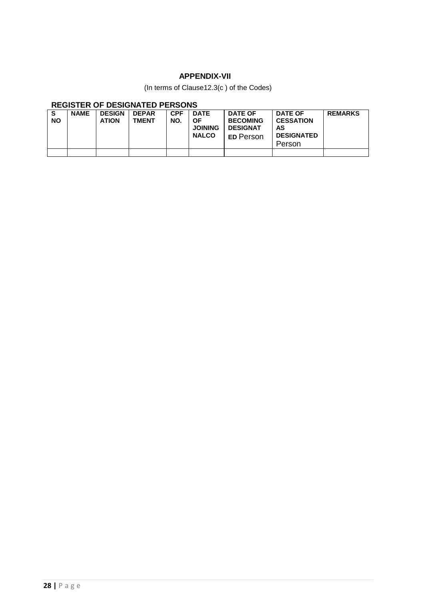## **APPENDIX-VII**

(In terms of Clause12.3(c ) of the Codes)

## **REGISTER OF DESIGNATED PERSONS**

| S<br><b>NO</b> | <b>NAME</b> | <b>DESIGN</b><br><b>ATION</b> | <b>DEPAR</b><br><b>TMENT</b> | <b>CPF</b><br>NO. | <b>DATE</b><br><b>OF</b><br><b>JOINING</b><br><b>NALCO</b> | <b>DATE OF</b><br><b>BECOMING</b><br><b>DESIGNAT</b><br><b>ED Person</b> | <b>DATE OF</b><br><b>CESSATION</b><br>AS<br><b>DESIGNATED</b><br>Person | <b>REMARKS</b> |
|----------------|-------------|-------------------------------|------------------------------|-------------------|------------------------------------------------------------|--------------------------------------------------------------------------|-------------------------------------------------------------------------|----------------|
|                |             |                               |                              |                   |                                                            |                                                                          |                                                                         |                |